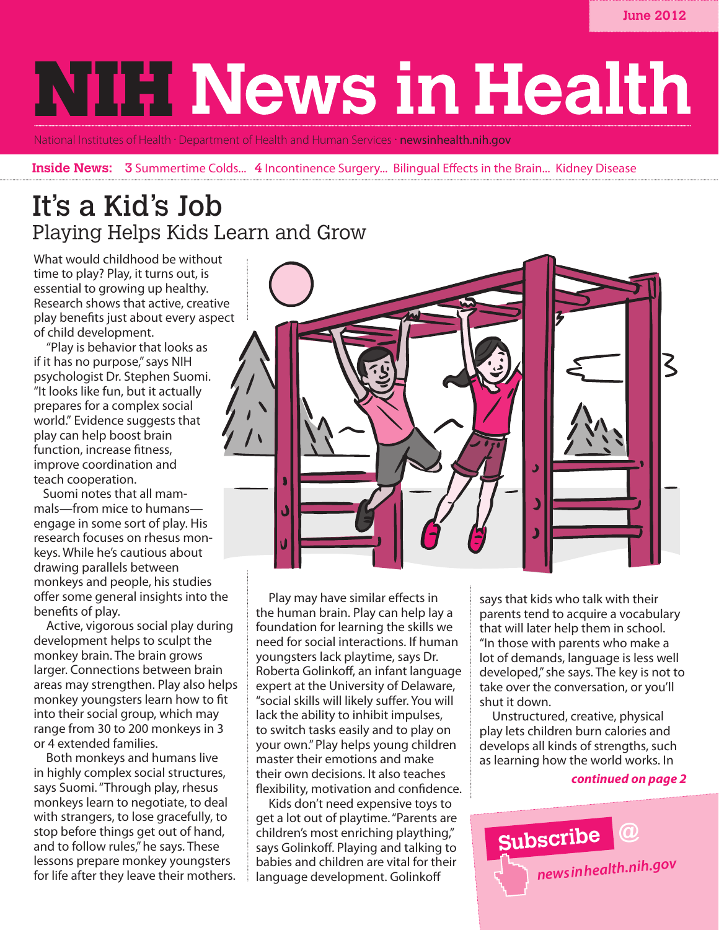# **NIFI News in Health**

National Institutes of Health · Department of Health and Human Services · **newsinhealth.nih.gov** 

**Inside News: 3** Summertime Colds... 4 Incontinence Surgery... Bilingual Effects in the Brain... Kidney Disease

### It's a Kid's Job Playing Helps Kids Learn and Grow

What would childhood be without time to play? Play, it turns out, is essential to growing up healthy. Research shows that active, creative play benefits just about every aspect of child development.

"Play is behavior that looks as if it has no purpose," says NIH psychologist Dr. Stephen Suomi. "It looks like fun, but it actually prepares for a complex social world." Evidence suggests that play can help boost brain function, increase fitness, improve coordination and teach cooperation.

Suomi notes that all mammals—from mice to humans engage in some sort of play. His research focuses on rhesus monkeys. While he's cautious about drawing parallels between monkeys and people, his studies offer some general insights into the benefits of play.

Active, vigorous social play during development helps to sculpt the monkey brain. The brain grows larger. Connections between brain areas may strengthen. Play also helps monkey youngsters learn how to fit into their social group, which may range from 30 to 200 monkeys in 3 or 4 extended families.

Both monkeys and humans live in highly complex social structures, says Suomi. "Through play, rhesus monkeys learn to negotiate, to deal with strangers, to lose gracefully, to stop before things get out of hand, and to follow rules," he says. These lessons prepare monkey youngsters for life after they leave their mothers.



Play may have similar effects in the human brain. Play can help lay a foundation for learning the skills we need for social interactions. If human youngsters lack playtime, says Dr. Roberta Golinkoff, an infant language expert at the University of Delaware, "social skills will likely suffer. You will lack the ability to inhibit impulses, to switch tasks easily and to play on your own." Play helps young children master their emotions and make their own decisions. It also teaches flexibility, motivation and confidence.

Kids don't need expensive toys to get a lot out of playtime. "Parents are children's most enriching plaything," says Golinkoff. Playing and talking to babies and children are vital for their language development. Golinkoff

says that kids who talk with their parents tend to acquire a vocabulary that will later help them in school. "In those with parents who make a lot of demands, language is less well developed," she says. The key is not to take over the conversation, or you'll shut it down.

Unstructured, creative, physical play lets children burn calories and develops all kinds of strengths, such as learning how the world works. In

### *continued on page 2*

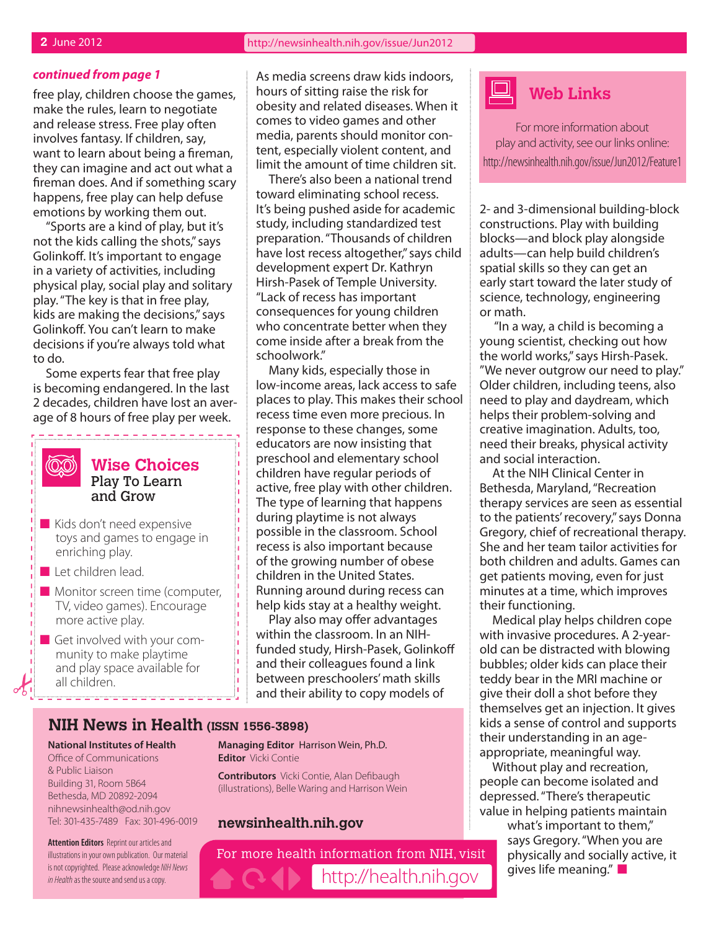#### *continued from page 1*

free play, children choose the games, make the rules, learn to negotiate and release stress. Free play often involves fantasy. If children, say, want to learn about being a fireman, they can imagine and act out what a fireman does. And if something scary happens, free play can help defuse emotions by working them out.

"Sports are a kind of play, but it's not the kids calling the shots," says Golinkoff. It's important to engage in a variety of activities, including physical play, social play and solitary play. "The key is that in free play, kids are making the decisions," says Golinkoff. You can't learn to make decisions if you're always told what to do.

Some experts fear that free play is becoming endangered. In the last 2 decades, children have lost an average of 8 hours of free play per week.



### **Wise Choices** Play To Learn and Grow

---------------

- $\blacksquare$  Kids don't need expensive toys and games to engage in enriching play.
- $\blacksquare$  Let children lead.
- $\blacksquare$  Monitor screen time (computer, TV, video games). Encourage more active play.
- $\blacksquare$  Get involved with your community to make playtime and play space available for all children.

As media screens draw kids indoors, hours of sitting raise the risk for obesity and related diseases. When it comes to video games and other media, parents should monitor content, especially violent content, and limit the amount of time children sit.

There's also been a national trend toward eliminating school recess. It's being pushed aside for academic study, including standardized test preparation. "Thousands of children have lost recess altogether," says child development expert Dr. Kathryn Hirsh-Pasek of Temple University. "Lack of recess has important consequences for young children who concentrate better when they come inside after a break from the schoolwork."

Many kids, especially those in low-income areas, lack access to safe places to play. This makes their school recess time even more precious. In response to these changes, some educators are now insisting that preschool and elementary school children have regular periods of active, free play with other children. The type of learning that happens during playtime is not always possible in the classroom. School recess is also important because of the growing number of obese children in the United States. Running around during recess can help kids stay at a healthy weight.

Play also may offer advantages within the classroom. In an NIHfunded study, Hirsh-Pasek, Golinkoff and their colleagues found a link between preschoolers' math skills and their ability to copy models of

### **NIH News in Health (ISSN 1556-3898)**

#### **National Institutes of Health** Office of Communications

& Public Liaison Building 31, Room 5B64 Bethesda, MD 20892-2094 nihnewsinhealth@od.nih.gov Tel: 301-435-7489 Fax: 301-496-0019

**Attention Editors** Reprint our articles and illustrations in your own publication. Our material is not copyrighted. Please acknowledge *NIH News in Health* as the source and send us a copy.

**Managing Editor** Harrison Wein, Ph.D. **Editor** Vicki Contie

**Contributors** Vicki Contie, Alan Defibaugh (illustrations), Belle Waring and Harrison Wein

### **newsinhealth.nih.gov**

For more health information from NIH, visit http://health.nih.gov



For more information about play and activity, see our links online: http://newsinhealth.nih.gov/issue/Jun2012/Feature1

2- and 3-dimensional building-block constructions. Play with building blocks—and block play alongside adults—can help build children's spatial skills so they can get an early start toward the later study of science, technology, engineering or math.

 "In a way, a child is becoming a young scientist, checking out how the world works," says Hirsh-Pasek. "We never outgrow our need to play." Older children, including teens, also need to play and daydream, which helps their problem-solving and creative imagination. Adults, too, need their breaks, physical activity and social interaction.

At the NIH Clinical Center in Bethesda, Maryland, "Recreation therapy services are seen as essential to the patients' recovery," says Donna Gregory, chief of recreational therapy. She and her team tailor activities for both children and adults. Games can get patients moving, even for just minutes at a time, which improves their functioning.

Medical play helps children cope with invasive procedures. A 2-yearold can be distracted with blowing bubbles; older kids can place their teddy bear in the MRI machine or give their doll a shot before they themselves get an injection. It gives kids a sense of control and supports their understanding in an ageappropriate, meaningful way.

Without play and recreation, people can become isolated and depressed. "There's therapeutic value in helping patients maintain

> what's important to them," says Gregory. "When you are physically and socially active, it gives life meaning." $\blacksquare$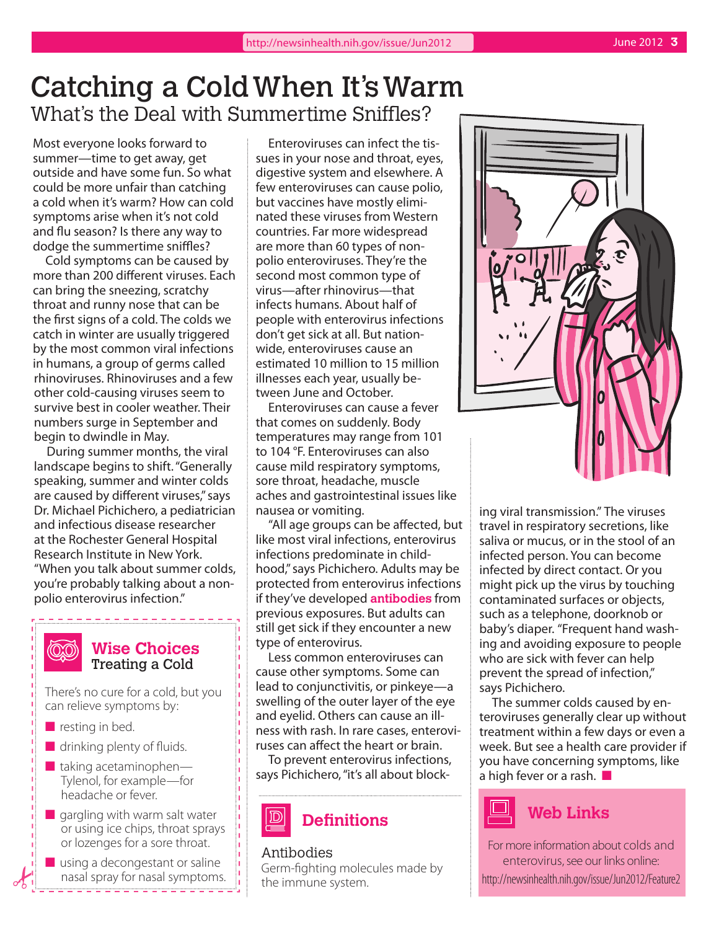## Catching a Cold When It's Warm What's the Deal with Summertime Sniffles?

Most everyone looks forward to summer—time to get away, get outside and have some fun. So what could be more unfair than catching a cold when it's warm? How can cold symptoms arise when it's not cold and flu season? Is there any way to dodge the summertime sniffles?

Cold symptoms can be caused by more than 200 different viruses. Each can bring the sneezing, scratchy throat and runny nose that can be the first signs of a cold. The colds we catch in winter are usually triggered by the most common viral infections in humans, a group of germs called rhinoviruses. Rhinoviruses and a few other cold-causing viruses seem to survive best in cooler weather. Their numbers surge in September and begin to dwindle in May.

During summer months, the viral landscape begins to shift. "Generally speaking, summer and winter colds are caused by different viruses," says Dr. Michael Pichichero, a pediatrician and infectious disease researcher at the Rochester General Hospital Research Institute in New York. "When you talk about summer colds, you're probably talking about a nonpolio enterovirus infection."

#### **(OO) Wise Choices** Treating a Cold

There's no cure for a cold, but you can relieve symptoms by:

- $\blacksquare$  resting in bed.
- $\blacksquare$  drinking plenty of fluids.
- $\blacksquare$  taking acetaminophen— Tylenol, for example—for headache or fever.
- $\blacksquare$  gargling with warm salt water or using ice chips, throat sprays or lozenges for a sore throat.
- $\blacksquare$  using a decongestant or saline nasal spray for nasal symptoms.

Enteroviruses can infect the tissues in your nose and throat, eyes, digestive system and elsewhere. A few enteroviruses can cause polio, but vaccines have mostly eliminated these viruses from Western countries. Far more widespread are more than 60 types of nonpolio enteroviruses. They're the second most common type of virus—after rhinovirus—that infects humans. About half of people with enterovirus infections don't get sick at all. But nationwide, enteroviruses cause an estimated 10 million to 15 million illnesses each year, usually between June and October.

Enteroviruses can cause a fever that comes on suddenly. Body temperatures may range from 101 to 104 °F. Enteroviruses can also cause mild respiratory symptoms, sore throat, headache, muscle aches and gastrointestinal issues like nausea or vomiting.

"All age groups can be affected, but like most viral infections, enterovirus infections predominate in childhood," says Pichichero. Adults may be protected from enterovirus infections if they've developed **antibodies** from previous exposures. But adults can still get sick if they encounter a new type of enterovirus.

Less common enteroviruses can cause other symptoms. Some can lead to conjunctivitis, or pinkeye—a swelling of the outer layer of the eye and eyelid. Others can cause an illness with rash. In rare cases, enteroviruses can affect the heart or brain.

To prevent enterovirus infections, says Pichichero, "it's all about block-

### Antibodies

Germ-fighting molecules made by the immune system.



ing viral transmission." The viruses travel in respiratory secretions, like saliva or mucus, or in the stool of an infected person. You can become infected by direct contact. Or you might pick up the virus by touching contaminated surfaces or objects, such as a telephone, doorknob or baby's diaper. "Frequent hand washing and avoiding exposure to people who are sick with fever can help prevent the spread of infection," says Pichichero.

The summer colds caused by enteroviruses generally clear up without treatment within a few days or even a week. But see a health care provider if you have concerning symptoms, like a high fever or a rash.  $\blacksquare$ 



For more information about colds and enterovirus, see our links online: http://newsinhealth.nih.gov/issue/Jun2012/Feature2